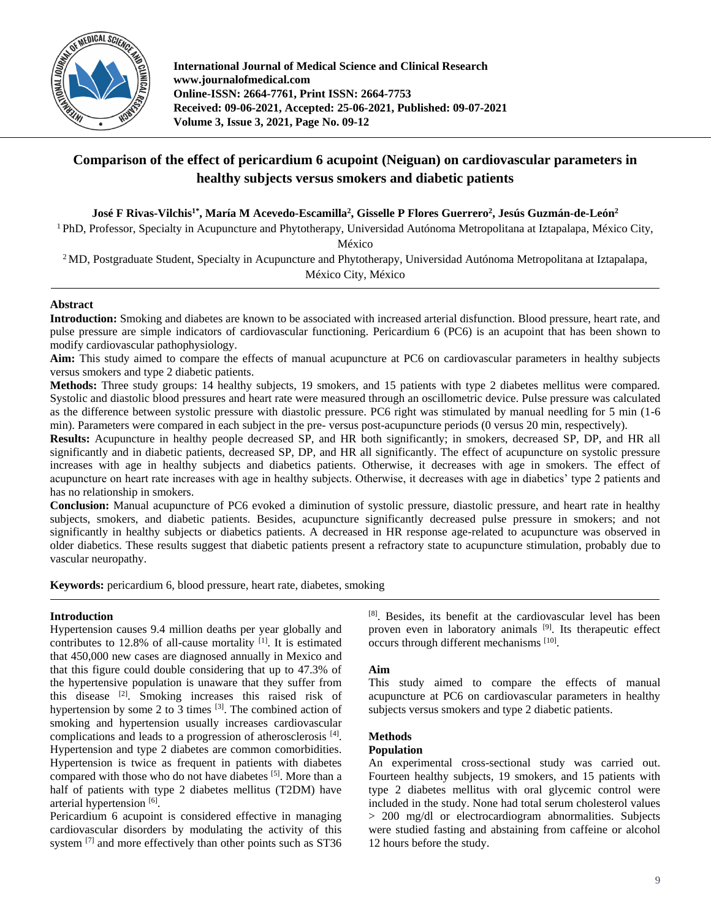

**International Journal of Medical Science and Clinical Research www.journalofmedical.com Online-ISSN: 2664-7761, Print ISSN: 2664-7753 Received: 09-06-2021, Accepted: 25-06-2021, Published: 09-07-2021 Volume 3, Issue 3, 2021, Page No. 09-12**

# **Comparison of the effect of pericardium 6 acupoint (Neiguan) on cardiovascular parameters in healthy subjects versus smokers and diabetic patients**

**José F Rivas-Vilchis1\*, María M Acevedo-Escamilla<sup>2</sup> , Gisselle P Flores Guerrero<sup>2</sup> , Jesús Guzmán-de-León<sup>2</sup>**

<sup>1</sup> PhD, Professor, Specialty in Acupuncture and Phytotherapy, Universidad Autónoma Metropolitana at Iztapalapa, México City,

México

<sup>2</sup> MD, Postgraduate Student, Specialty in Acupuncture and Phytotherapy, Universidad Autónoma Metropolitana at Iztapalapa, México City, México

# **Abstract**

**Introduction:** Smoking and diabetes are known to be associated with increased arterial disfunction. Blood pressure, heart rate, and pulse pressure are simple indicators of cardiovascular functioning. Pericardium 6 (PC6) is an acupoint that has been shown to modify cardiovascular pathophysiology.

**Aim:** This study aimed to compare the effects of manual acupuncture at PC6 on cardiovascular parameters in healthy subjects versus smokers and type 2 diabetic patients.

**Methods:** Three study groups: 14 healthy subjects, 19 smokers, and 15 patients with type 2 diabetes mellitus were compared. Systolic and diastolic blood pressures and heart rate were measured through an oscillometric device. Pulse pressure was calculated as the difference between systolic pressure with diastolic pressure. PC6 right was stimulated by manual needling for 5 min (1-6 min). Parameters were compared in each subject in the pre- versus post-acupuncture periods (0 versus 20 min, respectively).

**Results:** Acupuncture in healthy people decreased SP, and HR both significantly; in smokers, decreased SP, DP, and HR all significantly and in diabetic patients, decreased SP, DP, and HR all significantly. The effect of acupuncture on systolic pressure increases with age in healthy subjects and diabetics patients. Otherwise, it decreases with age in smokers. The effect of acupuncture on heart rate increases with age in healthy subjects. Otherwise, it decreases with age in diabetics' type 2 patients and has no relationship in smokers.

**Conclusion:** Manual acupuncture of PC6 evoked a diminution of systolic pressure, diastolic pressure, and heart rate in healthy subjects, smokers, and diabetic patients. Besides, acupuncture significantly decreased pulse pressure in smokers; and not significantly in healthy subjects or diabetics patients. A decreased in HR response age-related to acupuncture was observed in older diabetics. These results suggest that diabetic patients present a refractory state to acupuncture stimulation, probably due to vascular neuropathy.

**Keywords:** pericardium 6, blood pressure, heart rate, diabetes, smoking

# **Introduction**

Hypertension causes 9.4 million deaths per year globally and contributes to 12.8% of all-cause mortality <sup>[1]</sup>. It is estimated that 450,000 new cases are diagnosed annually in Mexico and that this figure could double considering that up to 47.3% of the hypertensive population is unaware that they suffer from this disease [2]. Smoking increases this raised risk of hypertension by some 2 to  $\overline{3}$  times  $^{[3]}$ . The combined action of smoking and hypertension usually increases cardiovascular complications and leads to a progression of atherosclerosis [4] . Hypertension and type 2 diabetes are common comorbidities. Hypertension is twice as frequent in patients with diabetes compared with those who do not have diabetes [5]. More than a half of patients with type 2 diabetes mellitus (T2DM) have arterial hypertension<sup>[6]</sup>.

Pericardium 6 acupoint is considered effective in managing cardiovascular disorders by modulating the activity of this system [7] and more effectively than other points such as ST36 [8]. Besides, its benefit at the cardiovascular level has been proven even in laboratory animals [9]. Its therapeutic effect occurs through different mechanisms [10].

# **Aim**

This study aimed to compare the effects of manual acupuncture at PC6 on cardiovascular parameters in healthy subjects versus smokers and type 2 diabetic patients.

# **Methods**

# **Population**

An experimental cross-sectional study was carried out. Fourteen healthy subjects, 19 smokers, and 15 patients with type 2 diabetes mellitus with oral glycemic control were included in the study. None had total serum cholesterol values > 200 mg/dl or electrocardiogram abnormalities. Subjects were studied fasting and abstaining from caffeine or alcohol 12 hours before the study.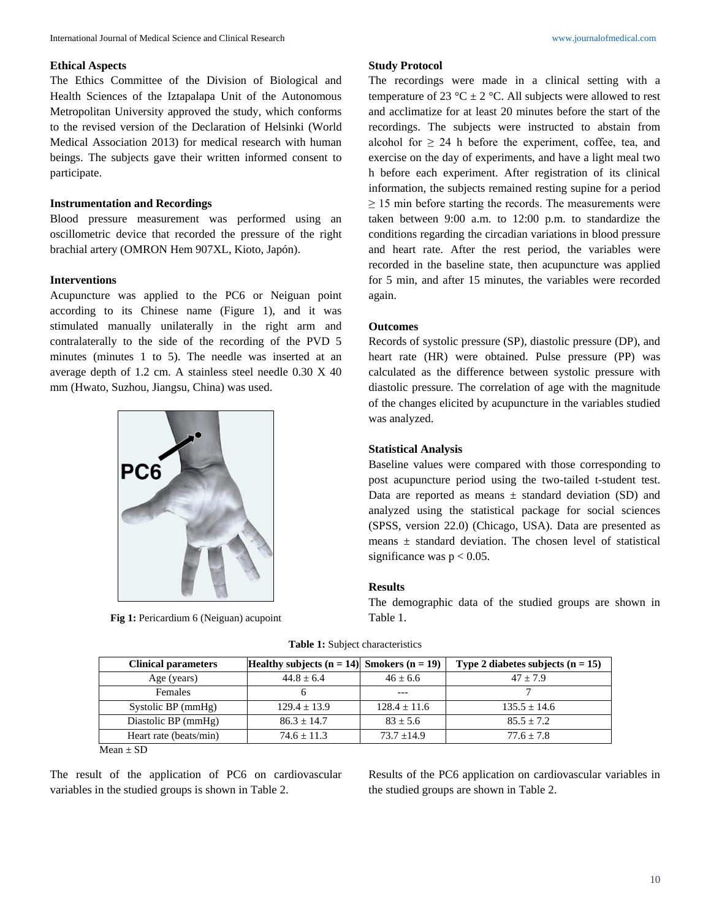# **Ethical Aspects**

The Ethics Committee of the Division of Biological and Health Sciences of the Iztapalapa Unit of the Autonomous Metropolitan University approved the study, which conforms to the revised version of the Declaration of Helsinki (World Medical Association 2013) for medical research with human beings. The subjects gave their written informed consent to participate.

# **Instrumentation and Recordings**

Blood pressure measurement was performed using an oscillometric device that recorded the pressure of the right brachial artery (OMRON Hem 907XL, Kioto, Japón).

# **Interventions**

Acupuncture was applied to the PC6 or Neiguan point according to its Chinese name (Figure 1), and it was stimulated manually unilaterally in the right arm and contralaterally to the side of the recording of the PVD 5 minutes (minutes 1 to 5). The needle was inserted at an average depth of 1.2 cm. A stainless steel needle 0.30 X 40 mm (Hwato, Suzhou, Jiangsu, China) was used.



**Fig 1:** Pericardium 6 (Neiguan) acupoint

#### **Study Protocol**

The recordings were made in a clinical setting with a temperature of 23 °C  $\pm$  2 °C. All subjects were allowed to rest and acclimatize for at least 20 minutes before the start of the recordings. The subjects were instructed to abstain from alcohol for  $\geq$  24 h before the experiment, coffee, tea, and exercise on the day of experiments, and have a light meal two h before each experiment. After registration of its clinical information, the subjects remained resting supine for a period  $\geq$  15 min before starting the records. The measurements were taken between 9:00 a.m. to 12:00 p.m. to standardize the conditions regarding the circadian variations in blood pressure and heart rate. After the rest period, the variables were recorded in the baseline state, then acupuncture was applied for 5 min, and after 15 minutes, the variables were recorded again.

# **Outcomes**

Records of systolic pressure (SP), diastolic pressure (DP), and heart rate (HR) were obtained. Pulse pressure (PP) was calculated as the difference between systolic pressure with diastolic pressure. The correlation of age with the magnitude of the changes elicited by acupuncture in the variables studied was analyzed.

# **Statistical Analysis**

Baseline values were compared with those corresponding to post acupuncture period using the two-tailed t-student test. Data are reported as means  $\pm$  standard deviation (SD) and analyzed using the statistical package for social sciences (SPSS, version 22.0) (Chicago, USA). Data are presented as means  $\pm$  standard deviation. The chosen level of statistical significance was  $p < 0.05$ .

#### **Results**

The demographic data of the studied groups are shown in Table 1.

| <b>Clinical parameters</b> | Healthy subjects $(n = 14)$ Smokers $(n = 19)$ |                | Type 2 diabetes subjects $(n = 15)$ |
|----------------------------|------------------------------------------------|----------------|-------------------------------------|
| Age (years)                | $44.8 + 6.4$                                   | $46 \pm 6.6$   | $47 + 7.9$                          |
| Females                    |                                                | $- - -$        |                                     |
| Systolic BP (mmHg)         | $129.4 + 13.9$                                 | $128.4 + 11.6$ | $135.5 + 14.6$                      |
| Diastolic BP (mmHg)        | $86.3 + 14.7$                                  | $83 + 5.6$     | $85.5 + 7.2$                        |
| Heart rate (beats/min)     | $74.6 + 11.3$                                  | $73.7 + 14.9$  | $77.6 + 7.8$                        |

**Table 1:** Subject characteristics

 $Mean \pm SD$ 

The result of the application of PC6 on cardiovascular variables in the studied groups is shown in Table 2.

Results of the PC6 application on cardiovascular variables in the studied groups are shown in Table 2.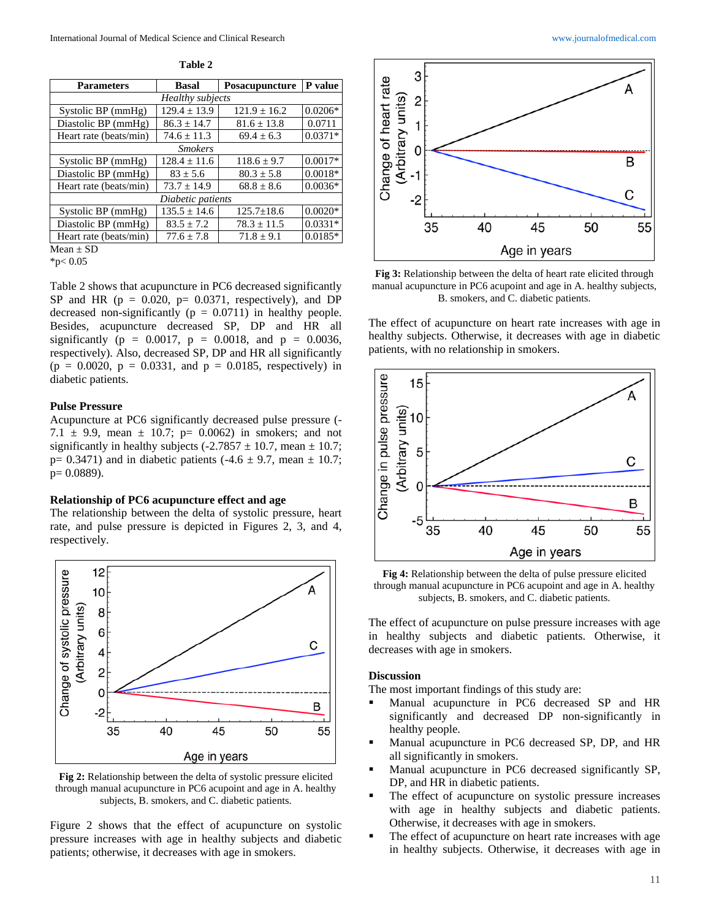**Table 2**

| <b>Basal</b>      | <b>Posacupuncture</b> | P value   |  |  |  |
|-------------------|-----------------------|-----------|--|--|--|
| Healthy subjects  |                       |           |  |  |  |
| $129.4 \pm 13.9$  | $121.9 \pm 16.2$      | $0.0206*$ |  |  |  |
| $86.3 + 14.7$     | $81.6 \pm 13.8$       | 0.0711    |  |  |  |
| $74.6 \pm 11.3$   | $69.4 + 6.3$          | $0.0371*$ |  |  |  |
| <b>Smokers</b>    |                       |           |  |  |  |
| $128.4 \pm 11.6$  | $118.6 + 9.7$         | $0.0017*$ |  |  |  |
| $83 + 5.6$        | $80.3 \pm 5.8$        | $0.0018*$ |  |  |  |
| $73.7 + 14.9$     | $68.8 + 8.6$          | $0.0036*$ |  |  |  |
| Diabetic patients |                       |           |  |  |  |
| $135.5 \pm 14.6$  | $125.7 + 18.6$        | $0.0020*$ |  |  |  |
| $83.5 \pm 7.2$    | $78.3 \pm 11.5$       | $0.0331*$ |  |  |  |
| $77.6 \pm 7.8$    | $71.8 \pm 9.1$        | $0.0185*$ |  |  |  |
|                   |                       |           |  |  |  |
|                   |                       |           |  |  |  |

 $*p< 0.05$ 

Table 2 shows that acupuncture in PC6 decreased significantly SP and HR ( $p = 0.020$ ,  $p = 0.0371$ , respectively), and DP decreased non-significantly ( $p = 0.0711$ ) in healthy people. Besides, acupuncture decreased SP, DP and HR all significantly ( $p = 0.0017$ ,  $p = 0.0018$ , and  $p = 0.0036$ , respectively). Also, decreased SP, DP and HR all significantly  $(p = 0.0020, p = 0.0331, and p = 0.0185, respectively)$  in diabetic patients.

# **Pulse Pressure**

Acupuncture at PC6 significantly decreased pulse pressure (- 7.1  $\pm$  9.9, mean  $\pm$  10.7; p= 0.0062) in smokers; and not significantly in healthy subjects (-2.7857  $\pm$  10.7, mean  $\pm$  10.7;  $p= 0.3471$ ) and in diabetic patients (-4.6  $\pm$  9.7, mean  $\pm$  10.7; p= 0.0889).

#### **Relationship of PC6 acupuncture effect and age**

The relationship between the delta of systolic pressure, heart rate, and pulse pressure is depicted in Figures 2, 3, and 4, respectively.



**Fig 2:** Relationship between the delta of systolic pressure elicited through manual acupuncture in PC6 acupoint and age in A. healthy subjects, B. smokers, and C. diabetic patients.

Figure 2 shows that the effect of acupuncture on systolic pressure increases with age in healthy subjects and diabetic patients; otherwise, it decreases with age in smokers.



**Fig 3:** Relationship between the delta of heart rate elicited through manual acupuncture in PC6 acupoint and age in A. healthy subjects, B. smokers, and C. diabetic patients.

The effect of acupuncture on heart rate increases with age in healthy subjects. Otherwise, it decreases with age in diabetic patients, with no relationship in smokers.



**Fig 4:** Relationship between the delta of pulse pressure elicited through manual acupuncture in PC6 acupoint and age in A. healthy subjects, B. smokers, and C. diabetic patients.

The effect of acupuncture on pulse pressure increases with age in healthy subjects and diabetic patients. Otherwise, it decreases with age in smokers.

### **Discussion**

The most important findings of this study are:

- Manual acupuncture in PC6 decreased SP and HR significantly and decreased DP non-significantly in healthy people.
- Manual acupuncture in PC6 decreased SP, DP, and HR all significantly in smokers.
- Manual acupuncture in PC6 decreased significantly SP, DP, and HR in diabetic patients.
- The effect of acupuncture on systolic pressure increases with age in healthy subjects and diabetic patients. Otherwise, it decreases with age in smokers.
- The effect of acupuncture on heart rate increases with age in healthy subjects. Otherwise, it decreases with age in